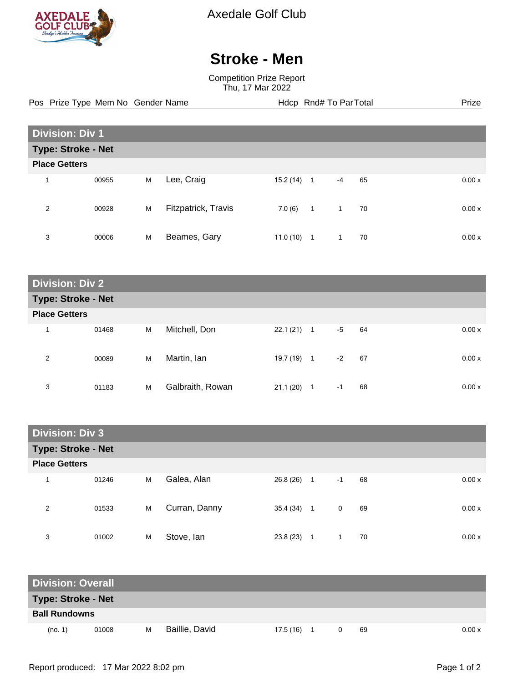

Axedale Golf Club

## **Stroke - Men**

Competition Prize Report Thu, 17 Mar 2022

Pos Prize Type Mem No Gender Name **Health Hotel Rnd# To ParTotal** Prize

| <b>Division: Div 1</b>    |       |   |                     |           |                |              |    |  |       |
|---------------------------|-------|---|---------------------|-----------|----------------|--------------|----|--|-------|
| <b>Type: Stroke - Net</b> |       |   |                     |           |                |              |    |  |       |
| <b>Place Getters</b>      |       |   |                     |           |                |              |    |  |       |
| 1                         | 00955 | M | Lee, Craig          | 15.2 (14) | $\mathbf{1}$   | $-4$         | 65 |  | 0.00x |
| 2                         | 00928 | M | Fitzpatrick, Travis | 7.0(6)    | $\overline{1}$ | $\mathbf{1}$ | 70 |  | 0.00x |
| 3                         | 00006 | M | Beames, Gary        | 11.0(10)  | 1              | $\mathbf{1}$ | 70 |  | 0.00x |

| <b>Division: Div 2</b>    |       |   |                  |              |              |      |    |  |       |
|---------------------------|-------|---|------------------|--------------|--------------|------|----|--|-------|
| <b>Type: Stroke - Net</b> |       |   |                  |              |              |      |    |  |       |
| <b>Place Getters</b>      |       |   |                  |              |              |      |    |  |       |
| 1                         | 01468 | M | Mitchell, Don    | 22.1 (21)    | $\mathbf{1}$ | $-5$ | 64 |  | 0.00x |
| 2                         | 00089 | M | Martin, Ian      | $19.7(19)$ 1 |              | $-2$ | 67 |  | 0.00x |
| 3                         | 01183 | M | Galbraith, Rowan | 21.1(20)     | 1            | $-1$ | 68 |  | 0.00x |

| <b>Division: Div 3</b> |       |   |               |  |           |                |      |    |       |
|------------------------|-------|---|---------------|--|-----------|----------------|------|----|-------|
| Type: Stroke - Net     |       |   |               |  |           |                |      |    |       |
| <b>Place Getters</b>   |       |   |               |  |           |                |      |    |       |
| 1                      | 01246 | M | Galea, Alan   |  | 26.8 (26) | $\overline{1}$ | $-1$ | 68 | 0.00x |
| 2                      | 01533 | M | Curran, Danny |  | 35.4 (34) | $\overline{1}$ | 0    | 69 | 0.00x |
| 3                      | 01002 | M | Stove, Ian    |  | 23.8(23)  | 1              | 1    | 70 | 0.00x |

| <b>Division: Overall</b>  |       |   |                |           |  |  |    |        |
|---------------------------|-------|---|----------------|-----------|--|--|----|--------|
| <b>Type: Stroke - Net</b> |       |   |                |           |  |  |    |        |
| <b>Ball Rundowns</b>      |       |   |                |           |  |  |    |        |
| (no. 1)                   | 01008 | м | Baillie, David | 17.5 (16) |  |  | 69 | 0.00 x |